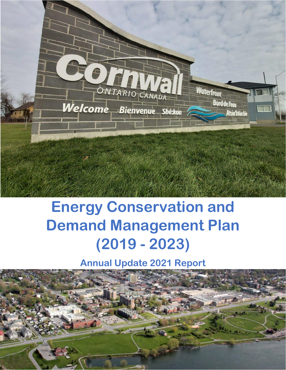

# **Energy Conservation and Demand Management Plan (2019 - 2023)**

**Annual Update 2021 Report**

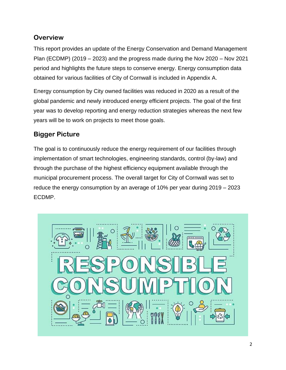## **Overview**

This report provides an update of the Energy Conservation and Demand Management Plan (ECDMP) (2019 – 2023) and the progress made during the Nov 2020 – Nov 2021 period and highlights the future steps to conserve energy. Energy consumption data obtained for various facilities of City of Cornwall is included in Appendix A.

Energy consumption by City owned facilities was reduced in 2020 as a result of the global pandemic and newly introduced energy efficient projects. The goal of the first year was to develop reporting and energy reduction strategies whereas the next few years will be to work on projects to meet those goals.

## **Bigger Picture**

The goal is to continuously reduce the energy requirement of our facilities through implementation of smart technologies, engineering standards, control (by-law) and through the purchase of the highest efficiency equipment available through the municipal procurement process. The overall target for City of Cornwall was set to reduce the energy consumption by an average of 10% per year during 2019 – 2023 ECDMP.

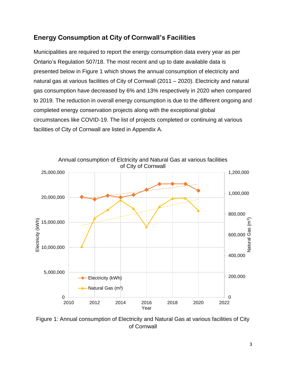## **Energy Consumption at City of Cornwall's Facilities**

Municipalities are required to report the energy consumption data every year as per Ontario's Regulation 507/18. The most recent and up to date available data is presented below in Figure 1 which shows the annual consumption of electricity and natural gas at various facilities of City of Cornwall (2011 – 2020). Electricity and natural gas consumption have decreased by 6% and 13% respectively in 2020 when compared to 2019. The reduction in overall energy consumption is due to the different ongoing and completed energy conservation projects along with the exceptional global circumstances like COVID-19. The list of projects completed or continuing at various facilities of City of Cornwall are listed in Appendix A.



Figure 1: Annual consumption of Electricity and Natural Gas at various facilities of City of Cornwall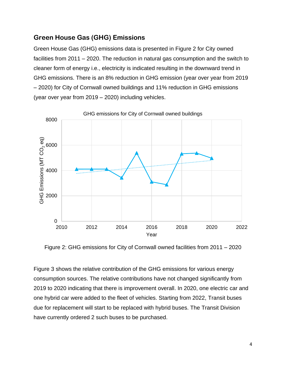### **Green House Gas (GHG) Emissions**

Green House Gas (GHG) emissions data is presented in Figure 2 for City owned facilities from 2011 – 2020. The reduction in natural gas consumption and the switch to cleaner form of energy i.e., electricity is indicated resulting in the downward trend in GHG emissions. There is an 8% reduction in GHG emission (year over year from 2019 – 2020) for City of Cornwall owned buildings and 11% reduction in GHG emissions (year over year from 2019 – 2020) including vehicles.



Figure 2: GHG emissions for City of Cornwall owned facilities from 2011 – 2020

Figure 3 shows the relative contribution of the GHG emissions for various energy consumption sources. The relative contributions have not changed significantly from 2019 to 2020 indicating that there is improvement overall. In 2020, one electric car and one hybrid car were added to the fleet of vehicles. Starting from 2022, Transit buses due for replacement will start to be replaced with hybrid buses. The Transit Division have currently ordered 2 such buses to be purchased.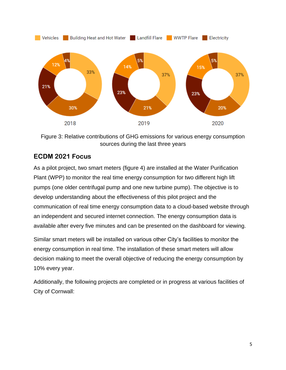

Figure 3: Relative contributions of GHG emissions for various energy consumption sources during the last three years

## **ECDM 2021 Focus**

As a pilot project, two smart meters (figure 4) are installed at the Water Purification Plant (WPP) to monitor the real time energy consumption for two different high lift pumps (one older centrifugal pump and one new turbine pump). The objective is to develop understanding about the effectiveness of this pilot project and the communication of real time energy consumption data to a cloud-based website through an independent and secured internet connection. The energy consumption data is available after every five minutes and can be presented on the dashboard for viewing.

Similar smart meters will be installed on various other City's facilities to monitor the energy consumption in real time. The installation of these smart meters will allow decision making to meet the overall objective of reducing the energy consumption by 10% every year.

Additionally, the following projects are completed or in progress at various facilities of City of Cornwall: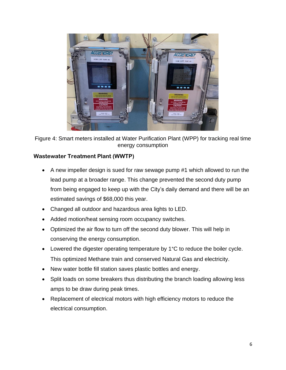

Figure 4: Smart meters installed at Water Purification Plant (WPP) for tracking real time energy consumption

#### **Wastewater Treatment Plant (WWTP)**

- A new impeller design is sued for raw sewage pump #1 which allowed to run the lead pump at a broader range. This change prevented the second duty pump from being engaged to keep up with the City's daily demand and there will be an estimated savings of \$68,000 this year.
- Changed all outdoor and hazardous area lights to LED.
- Added motion/heat sensing room occupancy switches.
- Optimized the air flow to turn off the second duty blower. This will help in conserving the energy consumption.
- Lowered the digester operating temperature by 1°C to reduce the boiler cycle. This optimized Methane train and conserved Natural Gas and electricity.
- New water bottle fill station saves plastic bottles and energy.
- Split loads on some breakers thus distributing the branch loading allowing less amps to be draw during peak times.
- Replacement of electrical motors with high efficiency motors to reduce the electrical consumption.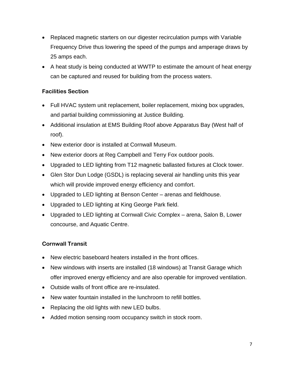- Replaced magnetic starters on our digester recirculation pumps with Variable Frequency Drive thus lowering the speed of the pumps and amperage draws by 25 amps each.
- A heat study is being conducted at WWTP to estimate the amount of heat energy can be captured and reused for building from the process waters.

#### **Facilities Section**

- Full HVAC system unit replacement, boiler replacement, mixing box upgrades, and partial building commissioning at Justice Building.
- Additional insulation at EMS Building Roof above Apparatus Bay (West half of roof).
- New exterior door is installed at Cornwall Museum.
- New exterior doors at Reg Campbell and Terry Fox outdoor pools.
- Upgraded to LED lighting from T12 magnetic ballasted fixtures at Clock tower.
- Glen Stor Dun Lodge (GSDL) is replacing several air handling units this year which will provide improved energy efficiency and comfort.
- Upgraded to LED lighting at Benson Center arenas and fieldhouse.
- Upgraded to LED lighting at King George Park field.
- Upgraded to LED lighting at Cornwall Civic Complex arena, Salon B, Lower concourse, and Aquatic Centre.

#### **Cornwall Transit**

- New electric baseboard heaters installed in the front offices.
- New windows with inserts are installed (18 windows) at Transit Garage which offer improved energy efficiency and are also operable for improved ventilation.
- Outside walls of front office are re-insulated.
- New water fountain installed in the lunchroom to refill bottles.
- Replacing the old lights with new LED bulbs.
- Added motion sensing room occupancy switch in stock room.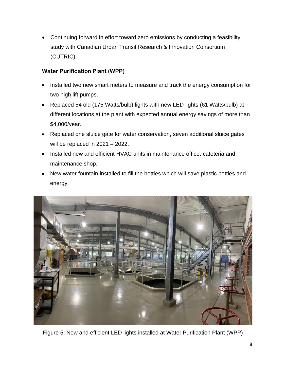• Continuing forward in effort toward zero emissions by conducting a feasibility study with Canadian Urban Transit Research & Innovation Consortium (CUTRIC).

#### **Water Purification Plant (WPP)**

- Installed two new smart meters to measure and track the energy consumption for two high lift pumps.
- Replaced 54 old (175 Watts/bulb) lights with new LED lights (61 Watts/bulb) at different locations at the plant with expected annual energy savings of more than \$4,000/year.
- Replaced one sluice gate for water conservation, seven additional sluice gates will be replaced in 2021 – 2022.
- Installed new and efficient HVAC units in maintenance office, cafeteria and maintenance shop.
- New water fountain installed to fill the bottles which will save plastic bottles and energy.



Figure 5: New and efficient LED lights installed at Water Purification Plant (WPP)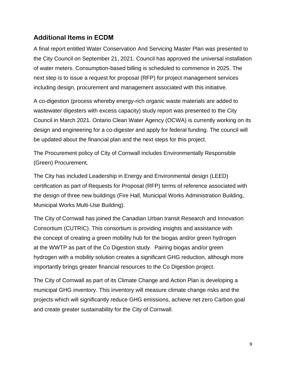## **Additional Items in ECDM**

A final report entitled Water Conservation And Servicing Master Plan was presented to the City Council on September 21, 2021. Council has approved the universal installation of water meters. Consumption-based billing is scheduled to commence in 2025. The next step is to issue a request for proposal (RFP) for project management services including design, procurement and management associated with this initiative.

A co-digestion (process whereby energy-rich organic waste materials are added to wastewater digesters with excess capacity) study report was presented to the City Council in March 2021. Ontario Clean Water Agency (OCWA) is currently working on its design and engineering for a co-digester and apply for federal funding. The council will be updated about the financial plan and the next steps for this project.

The Procurement policy of City of Cornwall includes Environmentally Responsible (Green) Procurement.

The City has included Leadership in Energy and Environmental design (LEED) certification as part of Requests for Proposal (RFP) terms of reference associated with the design of three new buildings (Fire Hall, Municipal Works Administration Building, Municipal Works Multi-Use Building).

The City of Cornwall has joined the Canadian Urban transit Research and Innovation Consortium (CUTRIC). This consortium is providing insights and assistance with the concept of creating a green mobility hub for the biogas and/or green hydrogen at the WWTP as part of the Co Digestion study. Pairing biogas and/or green hydrogen with a mobility solution creates a significant GHG reduction, although more importantly brings greater financial resources to the Co Digestion project.

The City of Cornwall as part of its Climate Change and Action Plan is developing a municipal GHG inventory. This inventory will measure climate change risks and the projects which will significantly reduce GHG emissions, achieve net zero Carbon goal and create greater sustainability for the City of Cornwall.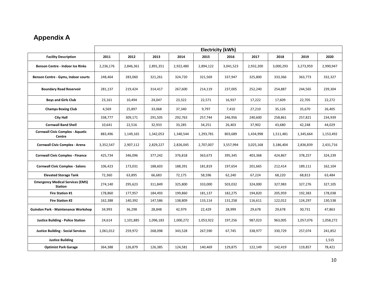## **Appendix A**

|                                                           | <b>Electricity (kWh)</b> |           |           |           |           |           |           |           |           |           |
|-----------------------------------------------------------|--------------------------|-----------|-----------|-----------|-----------|-----------|-----------|-----------|-----------|-----------|
| <b>Facility Description</b>                               | 2011                     | 2012      | 2013      | 2014      | 2015      | 2016      | 2017      | 2018      | 2019      | 2020      |
| Benson Centre - Indoor Ice Rinks                          | 2,236,176                | 2,846,361 | 2,891,351 | 2,922,480 | 2,894,122 | 3,041,523 | 2,932,200 | 3,000,293 | 3,273,959 | 2,990,947 |
| <b>Benson Centre - Gyms, Indoor courts</b>                | 248,464                  | 283,060   | 321,261   | 324,720   | 321,569   | 337,947   | 325,800   | 333,366   | 363,773   | 332,327   |
| <b>Boundary Road Reservoir</b>                            | 281,137                  | 219,424   | 314,417   | 267,600   | 214,119   | 237,005   | 252,240   | 254,887   | 244,565   | 239,304   |
| <b>Boys and Girls Club</b>                                | 23,161                   | 10,494    | 24,047    | 23,322    | 22,571    | 16,937    | 17,222    | 17,609    | 22,705    | 22,272    |
| <b>Champs Boxing Club</b>                                 | 4,569                    | 25,897    | 33,068    | 37,340    | 9,797     | 7,410     | 27,210    | 35,126    | 35,670    | 26,405    |
| <b>City Hall</b>                                          | 338,777                  | 309,171   | 291,505   | 292,763   | 257,744   | 246,956   | 240,600   | 258,861   | 257,821   | 234,939   |
| <b>Cornwall Band Shell</b>                                | 10,641                   | 22,516    | 32,933    | 33,285    | 34,251    | 26,403    | 37,902    | 43,680    | 42,248    | 44,029    |
| <b>Cornwall Civic Complex - Aquatic</b><br>Centre         | 883,496                  | 1,149,165 | 1,342,053 | 1,340,544 | 1,293,781 | 803,689   | 1,434,998 | 1,511,481 | 1,345,664 | 1,153,492 |
| <b>Cornwall Civic Complex - Arena</b>                     | 3,352,547                | 2,907,112 | 2,829,227 | 2,826,045 | 2,707,007 | 3,557,994 | 3,025,168 | 3,186,404 | 2,836,839 | 2,431,716 |
| <b>Cornwall Civic Complex - Finance</b>                   | 425,734                  | 346,096   | 377,242   | 376,818   | 363,673   | 395,345   | 403,368   | 424,867   | 378,257   | 324,239   |
| <b>Cornwall Civic Complex - Salons</b>                    | 106,423                  | 173,031   | 188,603   | 188,391   | 181,819   | 197,654   | 201,665   | 212,414   | 189,111   | 162,104   |
| <b>Elevated Storage Tank</b>                              | 72,360                   | 63,895    | 66,683    | 72,175    | 58,596    | 62,240    | 67,224    | 68,220    | 68,813    | 63,484    |
| <b>Emergency Medical Services (EMS)</b><br><b>Station</b> | 274,140                  | 295,623   | 311,849   | 325,800   | 333,000   | 503,032   | 324,000   | 327,983   | 327,276   | 327,105   |
| <b>Fire Station #1</b>                                    | 178,860                  | 177,957   | 184,493   | 199,860   | 181,137   | 182,275   | 194,820   | 205,959   | 192,383   | 178,038   |
| Fire Station #2                                           | 162,388                  | 140,392   | 147,586   | 138,809   | 133,114   | 131,258   | 116,611   | 122,012   | 124,297   | 130,538   |
| <b>Guindon Park - Maintenance Workshop</b>                | 34,993                   | 36,298    | 28,848    | 42,979    | 22,429    | 28,999    | 29,678    | 29,678    | 30,731    | 47,863    |
| <b>Justice Building - Police Station</b>                  | 24,614                   | 1,101,885 | 1,096,183 | 1,000,272 | 1,053,922 | 197,256   | 987,023   | 963,005   | 1,057,076 | 1,058,272 |
| <b>Justice Building - Social Services</b>                 | 1,061,012                | 259,972   | 268,098   | 343,528   | 267,590   | 67,745    | 338,977   | 330,729   | 257,074   | 241,852   |
| <b>Justice Building</b>                                   |                          |           |           |           |           |           |           |           |           | 1,515     |
| <b>Optimist Park Garage</b>                               | 364,388                  | 126,879   | 126,385   | 124,581   | 140,469   | 129,875   | 122,149   | 142,419   | 119,857   | 78,421    |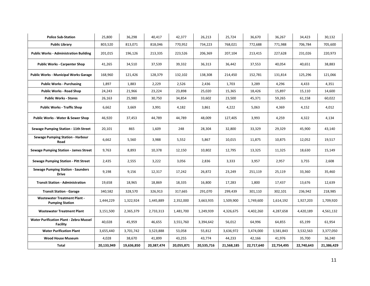| <b>Police Sub-Station</b>                                         | 25,800     | 36,298     | 40,417     | 42,377     | 26,213     | 25,724     | 36,670     | 36,267     | 34,423     | 30,132     |
|-------------------------------------------------------------------|------------|------------|------------|------------|------------|------------|------------|------------|------------|------------|
| <b>Public Library</b>                                             | 803,520    | 813,071    | 818,046    | 770,952    | 734,223    | 768,021    | 772,688    | 771,988    | 706,784    | 705,600    |
| <b>Public Works - Administration Building</b>                     | 201,015    | 196,126    | 213,335    | 223,526    | 206,369    | 207,104    | 213,415    | 227,628    | 231,026    | 220,973    |
| <b>Public Works - Carpenter Shop</b>                              | 41,265     | 34,510     | 37,539     | 39,332     | 36,313     | 36,442     | 37,553     | 40,054     | 40,651     | 38,883     |
| <b>Public Works - Municipal Works Garage</b>                      | 168,960    | 121,426    | 128,379    | 132,102    | 138,308    | 214,450    | 152,781    | 131,814    | 125,296    | 121,066    |
| <b>Public Works - Purchasing</b>                                  | 1,897      | 1,883      | 2,229      | 2,526      | 2,436      | 1,703      | 3,289      | 4,296      | 4,433      | 4,351      |
| <b>Public Works - Road Shop</b>                                   | 24,243     | 21,966     | 23,224     | 23,898     | 25,020     | 15,365     | 18,426     | 15,897     | 15,110     | 14,600     |
| <b>Public Works - Stores</b>                                      | 26,163     | 25,980     | 30,750     | 34,854     | 33,602     | 23,500     | 45,371     | 59,265     | 61,158     | 60,022     |
| <b>Public Works - Traffic Shop</b>                                | 6,662      | 3,669      | 3,991      | 4,182      | 3,861      | 4,222      | 5,063      | 4,369      | 4,152      | 4,012      |
| <b>Public Works - Water &amp; Sewer Shop</b>                      | 46,920     | 37,453     | 44,789     | 44,789     | 48,009     | 127,405    | 3,993      | 4,259      | 4,322      | 4,134      |
| Sewage Pumping Station - 11th Street                              | 20,101     | 865        | 1,609      | 248        | 28,304     | 32,800     | 33,329     | 29,329     | 45,900     | 43,140     |
| <b>Sewage Pumping Station - Harbour</b><br>Road                   | 6,662      | 5,560      | 3,988      | 5,552      | 5,867      | 10,015     | 11,875     | 10,875     | 12,052     | 19,517     |
| <b>Sewage Pumping Station - James Street</b>                      | 9,763      | 8,893      | 10,378     | 12,150     | 10,802     | 12,795     | 13,325     | 11,325     | 18,630     | 15,149     |
| <b>Sewage Pumping Station - Pitt Street</b>                       | 2,435      | 2,555      | 3,222      | 3,056      | 2,836      | 3,333      | 3,957      | 2,957      | 3,755      | 2,608      |
| <b>Sewage Pumping Station - Saunders</b><br><b>Drive</b>          | 9,198      | 9,156      | 12,317     | 17,242     | 26,872     | 23,249     | 251,119    | 25,119     | 33,360     | 35,460     |
| <b>Transit Station - Administration</b>                           | 19,658     | 18,965     | 18,869     | 18,335     | 16,800     | 17,283     | 1,800      | 17,437     | 13,676     | 12,639     |
| <b>Transit Station - Garage</b>                                   | 340,582    | 328,570    | 326,913    | 317,665    | 291,070    | 299,439    | 301,110    | 302,101    | 236,942    | 218,985    |
| <b>Wastewater Treatment Plant -</b><br><b>Pumping Station</b>     | 1,444,229  | 1,322,924  | 1,445,889  | 2,352,000  | 3,663,935  | 1,509,900  | 1,749,600  | 1,614,192  | 1,927,203  | 1,709,920  |
| <b>Wastewater Treatment Plant</b>                                 | 3,151,500  | 2,365,379  | 2,733,313  | 1,481,700  | 1,249,939  | 4,326,675  | 4,402,260  | 4,287,658  | 4,420,189  | 4,561,132  |
| <b>Water Purification Plant - Zebra Mussel</b><br><b>Facility</b> | 40,028     | 45,959     | 46,655     | 3,551,760  | 3,394,642  | 56,012     | 64,996     | 64,855     | 65,199     | 61,954     |
| <b>Water Purification Plant</b>                                   | 3,655,440  | 3,701,742  | 3,523,888  | 53,058     | 55,812     | 3,636,972  | 3,474,000  | 3,581,843  | 3,532,563  | 3,377,050  |
| <b>Wood House Museum</b>                                          | 4,028      | 38,670     | 41,899     | 43,255     | 43,774     | 44,233     | 42,166     | 41,976     | 35,700     | 36,240     |
| Total                                                             | 20,133,949 | 19,636,850 | 20,387,474 | 20,055,871 | 20,535,716 | 21,568,185 | 22,717,640 | 22,754,495 | 22,740,643 | 21,386,429 |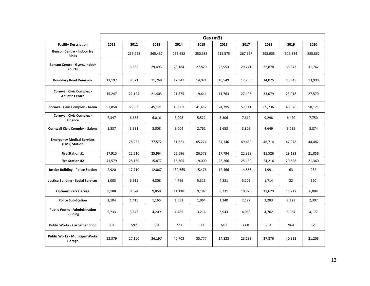|                                                          | Gas (m3) |         |         |         |         |         |         |         |         |         |
|----------------------------------------------------------|----------|---------|---------|---------|---------|---------|---------|---------|---------|---------|
| <b>Facility Description</b>                              | 2011     | 2012    | 2013    | 2014    | 2015    | 2016    | 2017    | 2018    | 2019    | 2020    |
| <b>Benson Centre - Indoor Ice</b><br><b>Rinks</b>        |          | 239,228 | 265,437 | 253,652 | 250,383 | 215,575 | 267,667 | 295,905 | 319,884 | 285,862 |
| Benson Centre - Gyms, Indoor<br>courts                   |          | 3,885   | 29,493  | 28,184  | 27,820  | 23,953  | 29,741  | 32,878  | 35,543  | 31,762  |
| <b>Boundary Road Reservoir</b>                           | 11,197   | 9,371   | 11,768  | 12,947  | 14,071  | 10,549  | 12,253  | 14,075  | 13,845  | 13,990  |
| <b>Cornwall Civic Complex -</b><br><b>Aquatic Centre</b> | 15,247   | 22,124  | 21,403  | 21,375  | 19,644  | 11,763  | 27,105  | 33,079  | 23,018  | 27,570  |
| <b>Cornwall Civic Complex - Arena</b>                    | 57,858   | 55,969  | 45,121  | 45,061  | 41,412  | 24,795  | 57,141  | 69,736  | 48,526  | 58,121  |
| <b>Cornwall Civic Complex -</b><br><b>Finance</b>        | 7,347    | 6,663   | 6,016   | 6,008   | 5,522   | 3,306   | 7,619   | 9,298   | 6,470   | 7,750   |
| <b>Cornwall Civic Complex - Salons</b>                   | 1,837    | 3,331   | 3,008   | 3,004   | 2,761   | 1,653   | 3,809   | 4,649   | 3,235   | 3,874   |
| <b>Emergency Medical Services</b><br>(EMS) Station       |          | 78,265  | 77,572  | 61,621  | 65,274  | 54,146  | 49,460  | 46,714  | 47,078  | 44,482  |
| <b>Fire Station #1</b>                                   | 17,915   | 22,210  | 25,964  | 25,696  | 26,578  | 17,794  | 22,339  | 25,526  | 29,193  | 21,856  |
| Fire Station #2                                          | 41,579   | 28,159  | 15,877  | 15,305  | 19,000  | 26,266  | 25,130  | 24,216  | 29,628  | 21,360  |
| <b>Justice Building - Police Station</b>                 | 2,920    | 17,710  | 12,067  | 139,665 | 15,476  | 12,466  | 14,866  | 4,991   | 63      | 932     |
| <b>Justice Building - Social Services</b>                | 1,003    | 6,915   | 4,808   | 4,796   | 5,315   | 4,281   | 5,105   | 1,714   | 22      | 320     |
| <b>Optimist Park Garage</b>                              | 9,188    | 8,374   | 9,858   | 11,118  | 9,187   | 8,231   | 10,926  | 11,629  | 11,217  | 6,084   |
| <b>Police Sub-Station</b>                                | 1.104    | 1,415   | 1,165   | 1,551   | 1,964   | 1,340   | 2,127   | 2,283   | 2,123   | 2,307   |
| <b>Public Works - Administration</b><br><b>Building</b>  | 5,733    | 3,643   | 4,209   | 4,485   | 3,216   | 3,943   | 4,063   | 4,702   | 5,934   | 4,177   |
| <b>Public Works - Carpenter Shop</b>                     | 884      | 592     | 684     | 729     | 522     | 640     | 660     | 764     | 964     | 679     |
| <b>Public Works - Municipal Works</b><br>Garage          | 22,379   | 27,160  | 36,197  | 40,703  | 35,777  | 14,828  | 23,133  | 37,876  | 40,313  | 21,206  |